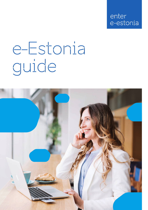

# e-Estonia guide

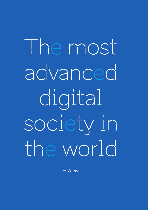The most advanced digital society in the world

– Wired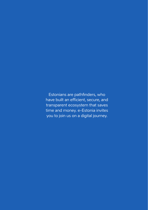Estonians are pathfinders, who have built an efficient, secure, and transparent ecosystem that saves time and money. e-Estonia invites you to join us on a digital journey.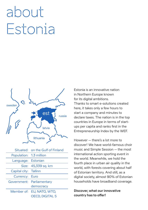# about Estonia



|                         | Situated: on the Gulf of Finland |
|-------------------------|----------------------------------|
| Population: 1.3 million |                                  |
| Language: Estonian      |                                  |
|                         | Size: 45,339 sq. km              |
| Capital city: Tallinn   |                                  |
| Currency: Euro          |                                  |
|                         | Government: Parliamentary        |
|                         | democracy                        |
|                         | Member of: EU, NATO, WTO,        |
|                         | <b>OECD, DIGITAL 5</b>           |

Estonia is an innovative nation in Northern Europe known for its digital ambitions. Thanks to smart e-solutions created here, it takes only a few hours to start a company and minutes to declare taxes. The nation is in the top countries in Europe in terms of startups per capita and ranks first in the Entrepreneurship Index by the WEF.

However – there's a lot more to discover! We have world-famous choir music and Simple Session – the most international action sporting event in the world. Meanwhile, we hold the fourth place in urban air quality in the world, with forests covering about half of Estonian territory. And still, as a digital society, almost 90% of Estonian households have broadband coverage.

### **Discover, what our innovative**  country has to offer!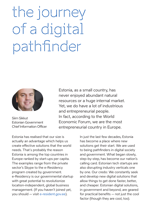# the journey of a digital pathfinder



Siim Sikkut Estonian Government Chief Information Officer

Estonia, as a small country, has never enjoyed abundant natural resources or a huge internal market. Yet, we do have a lot of industrious and entrepreneurial people. In fact, according to the World Economic Forum, we are the most entrepreneurial country in Europe.

Estonia has realised that our size is actually an advantage which helps us create effective solutions that the world needs. That´s probably the reason Estonia is among the top countries in Europe ranked by start-ups per capita. The examples range from the private sector's Skype to the e-Residency program created by government. e-Residency is our governmental startup with great potential to revolutionize location-independent, global business management. (If you haven't joined yet, you should – visit e-resident.gov.ee).

In just the last few decades, Estonia has become a place where new solutions get their start. We are used to being pathfinders in digital society and government. What began slowly, step-by-step, has become our nation's calling card. Estonian tech startups are also disrupting industry verticals one by one. Our credo: We constantly seek and develop new digital solutions that allow things to get done faster, better, and cheaper. Estonian digital solutions, in government and beyond, are geared for practical benefits – not just the cool factor (though they are cool, too).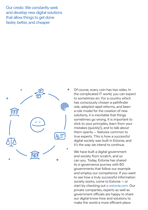Our credo: We constantly seek and develop new digital solutions that allow things to get done faster, better, and cheaper



Of course, every coin has two sides. In the complicated IT world, you can expect to sometimes err. For a country which has consciously chosen a pathfinder role, adopted rapid reforms, and been a role model for the creation of new solutions, it is inevitable that things sometimes go wrong. It is important to stick to your principles, learn from your mistakes (quickly!), and to talk about them openly – features common to true experts. This is how a successful digital society was built in Estonia, and it's the way we intend to continue.

We have built a digital government and society from scratch, and so can you. Today, Estonia has shared its e-governance journey with 60 governments that follow our example and employ our competence. If you want to see how a truly successful information society works, come to Estonia – or start by checking out e-estonia.com. Our private companies, experts as well as government officials are happy to share our digital know-how and solutions to make the world a more efficient place.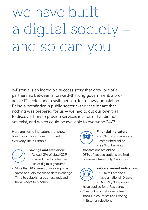we have built a digital society and so can you

e-Estonia is an incredible success story that grew out of a partnership between a forward-thinking government, a proactive IT sector, and a switched-on, tech-savvy population. Being a pathfinder in public sector e-services meant that nothing was prepared for us – we had to cut our own trail to discover how to provide services in a form that did not yet exist, and which could be available to everyone 24/7.

Here are some indicators that show how IT-solutions have improved everyday life in Estonia.



#### **Savings and efficiency:**

- At least 2% of state GDP is saved due to collective use of digital signatures
- More than 800 years of working time saved annually thanks to data exchange
- Time to establish a business reduced from 5 days to 3 hours



#### **Financial indicators:**

- 98% of companies are established online - 99% of banking

transactions are online

- 95% of tax declarations are filed online – it takes only 3 minutes!



- **e-Government indicators:** - 98% of Estonians
- have a national ID-card - Over 30,000 people

have applied for e-Residency - Over 30% of Estonian voters from 116 countries use i-Voting in Estonian elections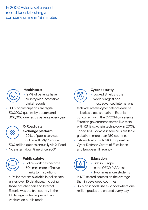# In 2007, Estonia set a world record for establishing a company online in 18 minutes



### **Healthcare:**

- 97% of patients have countrywide-accessible digital records
- 99% of prescriptions are digital
- 500,000 queries by doctors and 300,000 queries by patients every year



#### **X-Road data exchange platform:**

- 99% of public services online with 24/7 access
- 500 million queries annually via X-Road
- No system downtime since 2001



# **Public safety:**

- Police work has become 50 times more effective thanks to IT solutions
- e-Police system available in police cars unites over 15 databases, including those of Schengen and Interpol
- Estonia was the first country in the EU to legalise testing self-driving vehicles on public roads



# **Cyber security:**

- Locked Shields is the world's largest and most advanced international
- technical live-fire cyber defence exercise – it takes place annually in Estonia concurrent with the CYCON conference
- Estonian government started live tests with KSI Blockchain technology in 2008. Today, KSI Blockchain service is available globally in more than 180 countries
- Estonia hosts the NATO Cooperative Cyber Defence Centre of Excellence and European IT agency



# **Education:**

- First in Europe in the OECD PISA test - Two times more students

in ICT-related courses on the average than in developed countries

- 85% of schools use e-School where one million grades are entered every day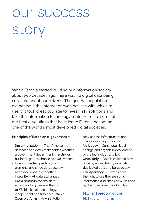# our success story

When Estonia started building our information society about two decades ago, there was no digital data being collected about our citizens. The general population did not have the internet or even devices with which to use it. It took great courage to invest in IT solutions and take the information technology route. Here are some of our best e-solutions that have led to Estonia becoming one of the world's most developed digital societies.

#### **Principles of Estonian e-governance:**

- **Decentralisation** There's no central database and every stakeholder, whether a government department, ministry, or business, gets to choose its own system.
- **Interconnectivity** All system elements exchange data securely and work smoothly together.
- **Integrity** All data exchanges, M2M communications, data at rest, and log files are, thanks to KSI blockchain technology, independent and fully accountable.

may use the infrastructure and it works as an open source.

- **No legacy** Continuous legal change and organic improvement of the technology and law.
- **Once-only** Data is collected only once by an institution, eliminating duplicated data and bureaucracy.
- **Transparency** Citizens have the right to see their personal information and check how it is used by the government via log files.

No. 1 in Freedom of the Net (Freedom House 2016)

- **Open platform** – Any institution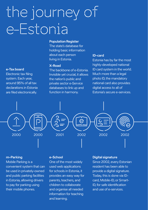# the journey of e-Estonia

#### **e-Tax board**

Electronic tax filing system. Each year, around 95% of all tax declarations in Estonia are filed electronically.

#### **Population Register**

The state's database for holding basic information about each person living in Estonia.

#### **X-Road**

The backbone of e-Estonia. Invisible yet crucial, it allows the nation's public and private sector e-Service databases to link up and function in harmony.

#### **ID-card**

Estonia has by far the most highly-developed national ID card system in the world. Much more than a legal photo ID, the mandatory national card also provides digital access to all of Estonia's secure e-services.



#### **m-Parking**

Mobile Parking is a convenient system that can be used in privately-owned and public parking facilities in Estonia, allowing drivers to pay for parking using their mobile phones.

#### **e-School**

One of the most widely used web applications for schools in Estonia, it provides an easy way for parents, teachers, and children to collaborate and organise all needed information for teaching and learning.

#### **Digital signature**

Since 2002, every Estonian resident has been able to provide a digital signature. Today, this is done via IDcard, Mobile-ID, or Smart-ID, for safe identification and use of e-services.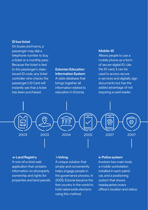#### **ID bus ticket**

On buses and trams, a passenger may dial a telephone number to buy a ticket or a monthly pass. Because the ticket is tied to the passenger's stateissued ID code, any ticket controller who checks the passenger's ID Card will instantly see that a ticket has been purchased.

### **Estonian Education Information System** A state database that brings together all information related to education in Estonia.

#### **Mobile-ID**

Allows people to use a mobile phone as a form of secure digital ID. Like the ID-card, it can be used to access secure e-services and digitally sign documents but has the added advantage of not requiring a card reader.



#### **e-Land Registry**

A one-of-a-kind web application that contains information on all property ownership and rights for properties and land parcels.

#### **i-Voting**

A unique solution that simply and conveniently helps engage people in the governance process. In 2005, Estonia became the first country in the world to hold nationwide elections using this method.

#### **e-Police system**

Involves two main tools: a mobile workstation installed in each patrol car, and a positioning system that shows headquarters every officer's location and status.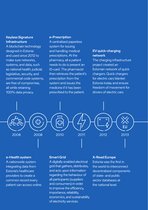#### **Keyless Signature Infrastructure**

A blockchain technology designed in Estonia and used since 2012 to make sure networks, systems, and data, such as national health, judicial, legislative, security, and commercial code systems, are free of compromise, all while retaining 100% data privacy.

#### **e-Prescription**

A centralised paperless system for issuing and handling medical prescriptions. At the pharmacy, all a patient needs to do is present an ID-card. The pharmacist then retrieves the patient's prescription from the system and issues the medicine if it has been prescribed to the patient.

# **EV quick-charging network**

The charging infrastructure project created an Estonian network of quick chargers. Quick chargers for electric cars blanket Estonia today and ensure freedom of movement for drivers of electric cars.



#### **e-Health system**

A nationwide system integrating data from Estonia's healthcare providers to create a common record every patient can access online.

#### **Smart Grid**

A digitally enabled electrical grid that gathers, distributes, and acts upon information regarding the behaviour of all participants (suppliers and consumers) in order to improve the efficiency, importance, reliability, economics, and sustainability of electricity services.

#### **X-Road Europe**

Estonia was the first in the world to interconnect decentralized components of state- and public sector databases at the national level.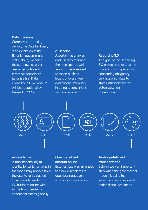#### **Data Embassy**

Currently in its testing period, the Data Embassy is an extension of the Estonian government in the cloud, meaning the state owns server resources outside its territorial boundaries. Estonia's first Data Embassy in Luxembourg will be operational by the end of 2017.

#### **e-Receipt**

A portal that enables end users to manage their receipts, as well as documents related to those, such as letters of guarantee and product manuals, in a single, convenient web environment.

#### **Reporting 3.0**

The goal of the Reporting 3.0 project is to reduce the burden on entrepreneurs concerning obligatory submission of data to state institutions by the automatisation  $of$  data flow



#### **e-Residency**

A transnational digital identity for which anyone in the world may apply allows the user to run a trusted location-independent EU business online with all the tools needed to conduct business globally.

### **Opening a bank account online**

Estonian law was amended to allow e-residents to open business bank accounts entirely online.

### **Testing intelligent transportation**

Estonia took an important step when the government made it legal to test self-driving vehicles on all national and local roads.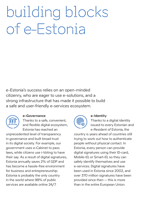# building blocks of e-Estonia

e-Estonia's success relies on an open-minded citizenry, who are eager to use e-solutions, and a strong infrastructure that has made it possible to build a safe and user-friendly e-services ecosystem.



#### **e-Governance**

Thanks to a safe, convenient, and flexible digital ecosystem, Estonia has reached an

unprecedented level of transparency in governance and built broad trust in its digital society. For example, our government uses e-Cabinet to pass laws, while citizens use i-Voting to have their say. As a result of digital signatures, Estonia annually saves 2% of GDP and has become a hassle-free environment for business and entrepreneurship. Estonia is probably the only country in the world where 99% of public services are available online 24/7.



#### **e-Identity**

Thanks to a digital identity issued to every Estonian and e-Resident of Estonia, the

country is years ahead of countries still trying to work out how to authenticate people without physical contact. In Estonia, every person can provide digital signatures using their ID-card, Mobile-ID, or Smart-ID, so they can safely identify themselves and use e-services. Digital signatures have been used in Estonia since 2002, and over 370 million signatures have been provided since then – this is more than in the entire European Union.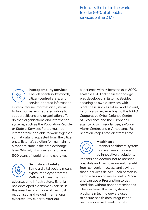Estonia is the first in the world to offer 99% of all public services online 24/7



#### **Interoperability services**

The 21st-century keywords, citizen-centred state, and service-oriented information

system, require information systems to function as an integrated whole to support citizens and organisations. To do that, organisations and information systems, such as the Population Register or State e-Services Portal, must be interoperable and able to work together so that data is requested from the citizen once. Estonia's solution for maintaining a modern state is the data exchange layer X-Road, which saves Estonians 800 years of working time every year.



#### **Security and safety**

Being a digital society means exposure to cyber threats. With solid investments in

cybersecurity infrastructure, Estonia has developed extensive expertise in this area, becoming one of the most recognised and valued international cybersecurity experts. After our

experience with cyberattacks in 2007, scalable KSI Blockchain technology was developed in Estonia. Besides securing its own e-services with blockchain, such as e-Law and e-Court, Estonia also became host to the NATO Cooperative Cyber Defence Centre of Excellence and the European IT agency. Also in regular use, e-Police, Alarm Centre, and e-Ambulance Fast Reaction keep Estonian streets safe.



#### **Healthcare**

Estonia's healthcare system has been revolutionised by innovative e-solutions.

Patients and doctors, not to mention hospitals and the government, benefit from convenient access and savings that e-services deliver. Each person in Estonia has an online e-Health Record and can use e-Prescription to get medicine without paper prescriptions. The electronic ID-card system and blockchain technology are used to ensure health data integrity and mitigate internal threats to data.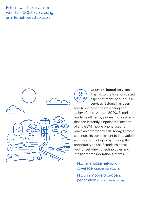Estonia was the first in the world in 2005 to vote using an internet-based solution

![](_page_15_Picture_1.jpeg)

![](_page_15_Picture_2.jpeg)

# **Location-based services**

Thanks to the location-based aspect of many of our public services, Estonia has been

able to increase the well-being and safety of its citizens. In 2000, Estonia made headlines by pioneering a system that can instantly pinpoint the location of any GSM mobile phone used to make an emergency call. Today, Estonia continues its commitment to innovation and new technologies by offering the opportunity to use Estonia as a test bed for self-driving technologies and intelligent transportation systems.

# No. 1 in mobile network coverage (Global IT Report 2016)

No. 6 in mobile broadband penetration (Global IT Report 2016)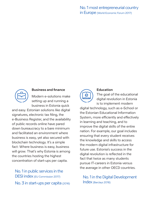![](_page_16_Picture_1.jpeg)

#### **Business and finance**

Modern e-solutions make setting up and running a business in Estonia quick

and easy. Estonian solutions like digital signatures, electronic tax filing, the e-Business Register, and the availability of public records online have pared down bureaucracy to a bare minimum and facilitated an environment where business is easy, yet also secured with blockchain technology. It's a simple fact: Where business is easy, business will grow. That's why Estonia is among the countries hosting the highest concentration of start-ups per capita.

# No. 1 in public services in the DESI index (EU Commission 2017) No. 3 in start-ups per capita (2016)

![](_page_16_Picture_6.jpeg)

#### **Education**

The goal of the educational digital revolution in Estonia is to implement modern

digital technology, such as e-School or the Estonian Educational Information System, more efficiently and effectively in learning and teaching, and to improve the digital skills of the entire nation. For example, our goal includes ensuring that every student receives the knowledge and skills to access the modern digital infrastructure for future use. Estonia's success in the digital revolution is reflected in the fact that twice as many students pursue IT-careers in Estonia versus the average in other OECD countries.

# No. 1 in the Digital Development Index (Barclays 2016)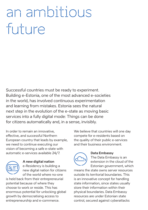# an ambitious future

Successful countries must be ready to experiment. Building e-Estonia, one of the most advanced e-societies in the world, has involved continuous experimentation and learning from mistakes. Estonia sees the natural next step in the evolution of the e-state as moving basic services into a fully digital mode: Things can be done for citizens automatically and, in a sense, invisibly.

In order to remain an innovative, effective, and successful Northern European country that leads by example, we need to continue executing our vision of becoming a safe e-state with automatic e-services available 24/7.

![](_page_17_Picture_3.jpeg)

### **A new digital nation** e-Residency is building a new digital nation for citizens of the world where no-one

is held back from their entrepreneurial potential because of where they choose to work or reside. This has enormous potential for unlocking global growth by democratising access to entrepreneurship and e-commerce.

We believe that countries will one day compete for e-residents based on the quality of their public e-services and their business environment.

![](_page_17_Picture_7.jpeg)

### **Data Embassy**

The Data Embassy is an extension in the cloud of the Estonian government, which

means the state owns server resources outside its territorial boundaries. This is an innovative concept for handling state information, since states usually store their information within their physical boundaries. Data Embassy resources are under Estonian state control, secured against cyberattacks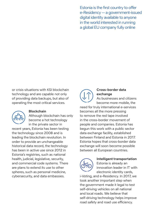Estonia is the first country to offer e-Residency – a government-issued digital identity available to anyone in the world interested in running a global EU company fully online

or crisis situations with KSI blockchain technology and are capable not only of providing data backups, but also of operating the most critical services.

![](_page_18_Picture_2.jpeg)

#### **Blockchain**

Although blockchain has only become a hot technology in the private sector in

recent years, Estonia has been testing the technology since 2008 and is leading the blockchain revolution. In order to provide an unchangeable historical data record, the technology has been in active use since 2012 in Estonia's registries, such as national health, judicial, legislative, security, and commercial code systems. There are plans to extend its use to other spheres, such as personal medicine, cybersecurity, and data embassies.

## **Cross-border data exchange**

As businesses and citizens become more mobile, the

need for truly international e-services becomes all the more pressing to remove the red tape involved in the cross-border movement of people and companies. Estonia has begun this work with a public sector data exchange facility, established between Finland and Estonia in 2017. Estonia hopes that cross-border data exchange will soon become possible between all European countries.

![](_page_18_Picture_9.jpeg)

#### **Intelligent transportation**

Estonia is already an innovation leader in IT with electronic identity cards,

i-Voting, and e-Residency. In 2017, we took another important step when the government made it legal to test self-driving vehicles on all national and local roads. We believe that self-driving technology helps improve road safety and road use efficiency.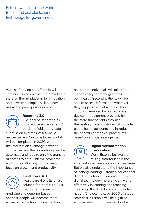Estonia was first in the world to test and use blockchain technology for government

With self-driving cars, Estonia will continue its commitment to providing a state-of-the-art platform for innovation and new technologies as it already has all the prerequisites in place.

![](_page_19_Picture_2.jpeg)

### **Reporting 3.0**

The goal of Reporting 3.0 is to reduce entrepreneurs' burden of obligatory data

submission to state institutions. A new e-Tax and Customs Board portal will be completed in 2020, where the information exchange between companies and the tax authority will be automatic and require only the granting of access to data. This will save time and money, allowing companies to focus on growth and productivity.

![](_page_19_Picture_6.jpeg)

### **Healthcare 4.0**

Healthcare 4.0 is Estonia's solution for the future. First, thanks to personalised

medicine and genome-based analysis, people will become more aware of the factors influencing their health, and individuals will take more responsibility for managing their own health. Second, patients will be able to access information wherever they happen to be at a time of their choosing, enabled by point-of-care devices – equipment provided by the state that patients may use themselves. Finally, Estonia will provide global health accounts and introduce the benefits of medical procedures based on artificial intelligence.

![](_page_19_Picture_11.jpeg)

### **Digital transformation in education**

We in Estonia believe that raising smarter kids is the

smartest investment a country can make. But we also understand the importance of lifelong learning. Estonia's educational digital revolution implements modern digital technology more efficiently and effectively in learning and teaching, improving the digital skills of the entire nation. One example: by 2020 all study materials in Estonia will be digitized and available through an e-schoolbag.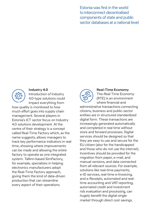Estonia was first in the world to interconnect decentralised components of state and public sector databases at a national level

![](_page_20_Picture_1.jpeg)

#### **Industry 4.0**

Introduction of Industry 4.0-type solutions could impact everything from

how quality is monitored to how much effort goes into supply chain management. Several players in Estonia's ICT sector focus on Industry 4.0 solutions development. At the centre of their strategy is a concept called Real-Time Factory which, as the name suggests, allows managers to track key performance indicators in real time, showing where improvements can be made and allowing the entire factory to operate as one integrated system. Tallinn-based SimFactory, for example, specializes in helping electronics manufacturers adopt the Real-Time Factory approach, giving them the kind of data-driven production that can streamline every aspect of their operations.

![](_page_20_Picture_5.jpeg)

#### **Real-Time Economy**

The-Real Time Economy (RTE) is an environment where financial and

administrative transactions connecting citizens, business and public-sector entities are in structured standardized digital form. These transactions are increasingly generated automatically and completed in real time without store and forward processes. Digital services should be designed so that they are easy to use and secure for the EU citizen (also for the handicapped and those who do not use the internet). Incentives should be provided for the migration from paper, e-mail, and manual versions, and data connected from all relevant sources. For example, solutions like real-time payments, e-ID services, real-time e-Invoicing, and e-Receipts, automated and realtime accounting and VAT-reporting, automated credit and investment risk evaluation and processing, can hugely benefit the digital single market through direct cost savings.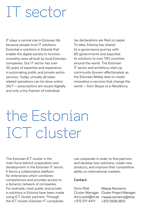# IT sector

IT plays a central role in Estonian life because people trust IT solutions. Essential e-solutions in Estonia that enable the digital society to function smoothly were all built by local Estonian companies. Our IT sector has over 20 years of expertise and experience in automating public and private sector services. Today, virtually all staterelated operations can be done online 24/7 – prescriptions are issued digitally and only a tiny fraction of individual

tax declarations are filed on paper. To date, Estonia has shared its e-governance journey with 60 governments and exported its solutions to over 130 countries around the world. The Estonian IT sector and ambitious start-up community (known affectionately as the Estonian Mafia) dare to create innovative e-services that change the world – from Skype to e-Residency.

# the Estonian ICT cluster

The Estonian ICT cluster is the main force behind cooperation and development in the Estonian IT sector. It forms a collaborative platform for enterprises which combines competences and provides access to a dynamic network of companies. For example, most public and private e-solutions in Estonia have been made using ICT cluster partners. Through the ICT cluster, Estonian IT companies

can cooperate in order to find partners and develop new solutions, create new products, and improve their competitive ability on international markets.

#### **Contact:**

Doris Põld +372 511 4411

Cluster Manager Cluster Project Manager doris.pold@itl.ee maarja.rannama@itl.ee Maarja Rannama +372 5558 2672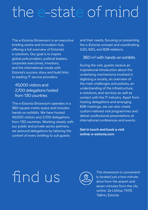# the e-state of mind

The e-Estonia Showroom is an executive brie ng centre and innovation hub, offering a full overview of Estonia's e-solutions. Our goal is to inspire global policymakers, political leaders, corporate executives, investors, and the international media with Estonia's success story and build links to leading IT service providers.

# 45,000 visitors and 2,700 delegations hosted from 130 countries

The e-Estonia Showroom operates in a 360 square-metre space and includes hands-on exhibits. We have hosted 45,000 visitors and 2,700 delegations from 130 countries. Working closely with our public and private sector partners, we astound delegations by tailoring the content of every brie ng to suit guests

and their needs, focusing on presenting the e-Estonia concept and coordinating G2G, B2G, and B2B relations.

# 360 m2 with hands-on exhibits

During the visit, guests receive an inspirational introduction about the underlying mechanisms involved in digitising a society, an overview of the main challenges and policies, an understanding of the infrastructure, e-solutions, and services as well as contact with the IT industry. Apart from hosting delegations and arranging B2B meetings, we can also create custom-tailored visit programmes and deliver professional presentations at international conferences and events.

**Get in touch and book a visit online: e-estonia.com**

# The showroom is convenient-<br>  $\begin{array}{ccc}\n\bullet & \bullet & \bullet \\
\bullet & \bullet & \bullet\n\end{array}$   $\begin{array}{ccc}\n\bullet & \bullet & \bullet \\
\bullet & \bullet & \bullet \\
\bullet & \bullet & \bullet\n\end{array}$   $\begin{array}{ccc}\n\bullet & \bullet & \bullet & \bullet \\
\bullet & \bullet & \bullet & \bullet \\
\bullet & \bullet & \bullet & \bullet \\
\bullet & \bullet & \bullet & \bullet\n\end{array}$   $\begin{array}{ccc}\n\bullet & \bullet & \bullet & \bullet \\
\bullet & \bullet & \bullet & \bullet \\
\bullet & \bullet & \bullet & \bullet \\
\bullet & \bullet & \$

![](_page_22_Picture_9.jpeg)

ly located just a two-minute drive from the airport and seven minutes from the city centre: 2a Lõõtsa, 11415 Tallinn, Estonia